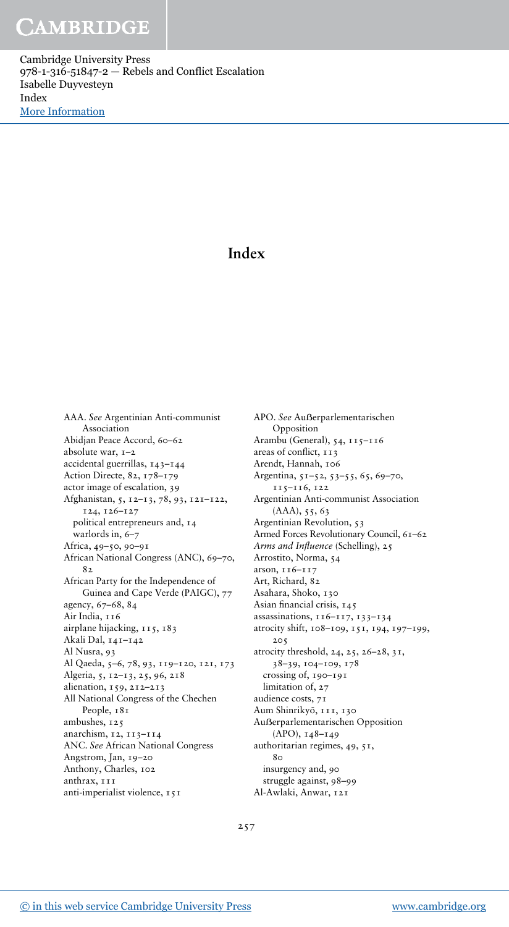Cambridge University Press 978-1-316-51847-2 — Rebels and Conflict Escalation Isabelle Duyvesteyn Index [More Information](www.cambridge.org/9781316518472)

## Index

AAA. See Argentinian Anti-communist Association Abidjan Peace Accord, 60–62 absolute war, 1–2 accidental guerrillas, 143–144 Action Directe, 82, 178–179 actor image of escalation, 39 Afghanistan, 5, 12–13, 78, 93, 121–122, 124, 126–127 political entrepreneurs and, 14 warlords in, 6–7 Africa, 49–50, 90–91 African National Congress (ANC), 69–70,  $8<sub>2</sub>$ African Party for the Independence of Guinea and Cape Verde (PAIGC), 77 agency, 67–68, 84 Air India, 116 airplane hijacking, 115, 183 Akali Dal, 141–142 Al Nusra, 93 Al Qaeda, 5–6, 78, 93, 119–120, 121, 173 Algeria, 5, 12–13, 25, 96, 218 alienation, 159, 212–213 All National Congress of the Chechen People, 181 ambushes, 125 anarchism, 12, 113–114 ANC. See African National Congress Angstrom, Jan, 19–20 Anthony, Charles, 102 anthrax, 111 anti-imperialist violence, 151

APO. See Außerparlementarischen Opposition Arambu (General), 54, 115–116 areas of conflict, 113 Arendt, Hannah, 106 Argentina, 51–52, 53–55, 65, 69–70, 115–116, 122 Argentinian Anti-communist Association (AAA), 55, 63 Argentinian Revolution, 53 Armed Forces Revolutionary Council, 61–62 Arms and Influence (Schelling), 25 Arrostito, Norma, 54 arson, 116–117 Art, Richard, 82 Asahara, Shoko, 130 Asian financial crisis, 145 assassinations, 116–117, 133–134 atrocity shift, 108–109, 151, 194, 197–199, 205 atrocity threshold, 24, 25, 26–28, 31, 38–39, 104–109, 178 crossing of, 190–191 limitation of, 27 audience costs, 71 Aum Shinrikyō, 111, 130 Auẞerparlementarischen Opposition (APO), 148–149 authoritarian regimes, 49, 51, 80 insurgency and, 90 struggle against, 98–99 Al-Awlaki, Anwar, 121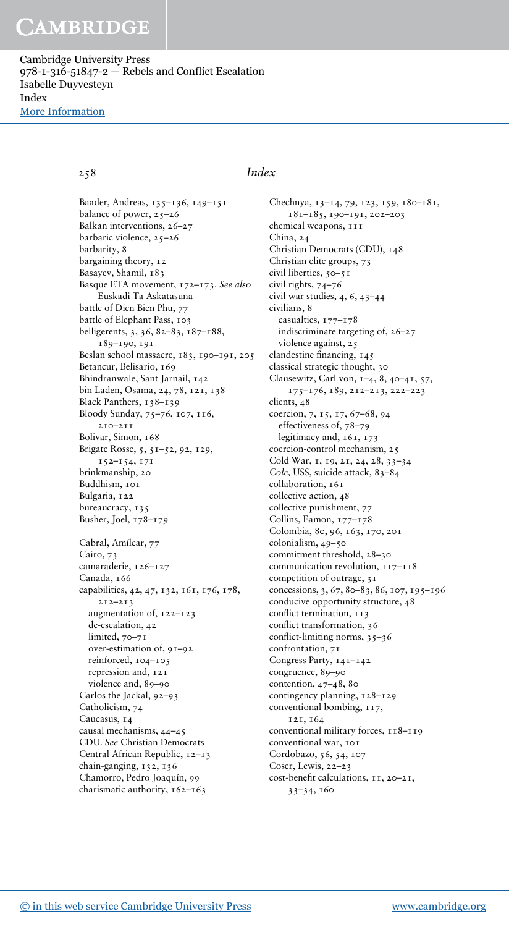Cambridge University Press 978-1-316-51847-2 — Rebels and Conflict Escalation Isabelle Duyvesteyn Index [More Information](www.cambridge.org/9781316518472)

Baader, Andreas, 135–136, 149–151 balance of power, 25-26 Balkan interventions, 26–27 barbaric violence, 25–26 barbarity, 8 bargaining theory, 12 Basayev, Shamil, 183 Basque ETA movement, 172–173. See also Euskadi Ta Askatasuna battle of Dien Bien Phu, 77 battle of Elephant Pass, 103 belligerents, 3, 36, 82–83, 187–188, 189–190, 191 Beslan school massacre, 183, 190–191, 205 Betancur, Belisario, 169 Bhindranwale, Sant Jarnail, 142 bin Laden, Osama, 24, 78, 121, 138 Black Panthers, 138-139 Bloody Sunday, 75–76, 107, 116, 210–211 Bolivar, Simon, 168 Brigate Rosse, 5, 51–52, 92, 129, 152–154, 171 brinkmanship, 20 Buddhism, 101 Bulgaria, 122 bureaucracy, 135 Busher, Joel, 178–179 Cabral, Amílcar, 77 Cairo, 73 camaraderie, 126-127 Canada, 166 capabilities, 42, 47, 132, 161, 176, 178, 212–213 augmentation of, 122–123 de-escalation, 42 limited, 70-71 over-estimation of, 91–92 reinforced, 104–105 repression and, 121 violence and, 89–90 Carlos the Jackal, 92–93 Catholicism, 74 Caucasus, 14 causal mechanisms, 44–45 CDU. See Christian Democrats Central African Republic, 12–13 chain-ganging, 132, 136 Chamorro, Pedro Joaquín, 99 charismatic authority, 162-163

### 258 Index

Chechnya, 13–14, 79, 123, 159, 180–181, 181–185, 190–191, 202–203 chemical weapons, 111 China, 24 Christian Democrats (CDU), 148 Christian elite groups, 73 civil liberties, 50-51 civil rights, 74–76 civil war studies, 4, 6, 43–44 civilians, 8 casualties, 177–178 indiscriminate targeting of, 26–27 violence against, 25 clandestine financing, 145 classical strategic thought, 30 Clausewitz, Carl von, 1–4, 8, 40–41, 57, 175–176, 189, 212–213, 222–223 clients, 48 coercion, 7, 15, 17, 67–68, 94 effectiveness of, 78–79 legitimacy and, 161, 173 coercion-control mechanism, 25 Cold War, 1, 19, 21, 24, 28, 33–34 Cole, USS, suicide attack, 83–84 collaboration, 161 collective action, 48 collective punishment, 77 Collins, Eamon, 177–178 Colombia, 80, 96, 163, 170, 201 colonialism, 49–50 commitment threshold, 28–30 communication revolution, 117–118 competition of outrage, 31 concessions, 3, 67, 80–83, 86, 107, 195–196 conducive opportunity structure, 48 conflict termination, 113 conflict transformation, 36 conflict-limiting norms,  $35-36$ confrontation, 71 Congress Party, 141–142 congruence, 89–90 contention, 47–48, 80 contingency planning, 128–129 conventional bombing, 117, 121, 164 conventional military forces, 118-119 conventional war, 101 Cordobazo, 56, 54, 107 Coser, Lewis, 22–23 cost-benefit calculations, 11, 20–21, 33–34, 160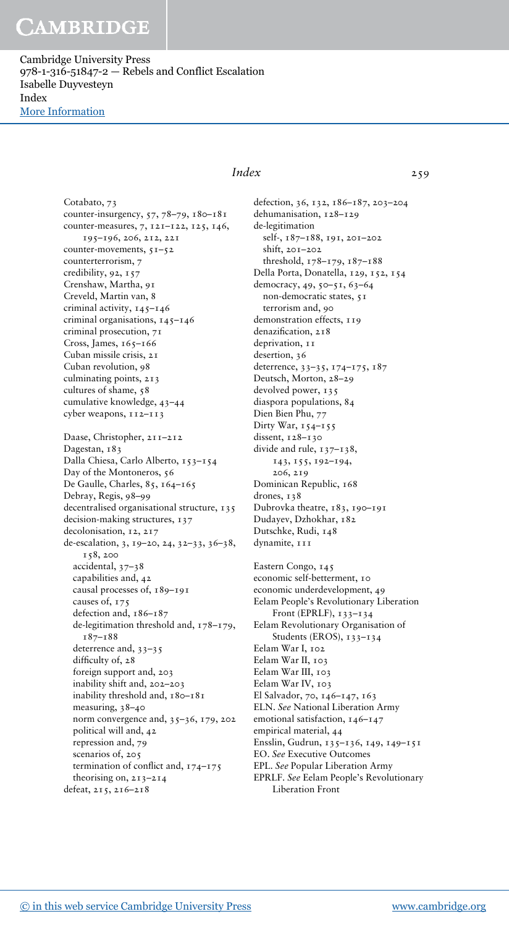Cambridge University Press 978-1-316-51847-2 — Rebels and Conflict Escalation Isabelle Duyvesteyn Index [More Information](www.cambridge.org/9781316518472)

> Cotabato, 73 counter-insurgency, 57, 78–79, 180–181 counter-measures, 7, 121–122, 125, 146, 195–196, 206, 212, 221 counter-movements, 51–52 counterterrorism, 7 credibility, 92, 157 Crenshaw, Martha, 91 Creveld, Martin van, 8 criminal activity, 145–146 criminal organisations, 145–146 criminal prosecution, 71 Cross, James, 165-166 Cuban missile crisis, 21 Cuban revolution, 98 culminating points, 213 cultures of shame, 58 cumulative knowledge, 43–44 cyber weapons, 112–113 Daase, Christopher, 211–212 Dagestan, 183 Dalla Chiesa, Carlo Alberto, 153–154 Day of the Montoneros, 56 De Gaulle, Charles, 85, 164-165 Debray, Regis, 98–99 decentralised organisational structure, 135 decision-making structures, 137 decolonisation, 12, 217 de-escalation, 3, 19–20, 24, 32–33, 36–38, 158, 200 accidental, 37–38 capabilities and, 42 causal processes of, 189–191 causes of, 175 defection and, 186–187 de-legitimation threshold and, 178–179, 187–188 deterrence and, 33–35 difficulty of, 28 foreign support and, 203 inability shift and, 202–203 inability threshold and, 180–181 measuring, 38–40 norm convergence and, 35–36, 179, 202 political will and, 42 repression and, 79 scenarios of, 205 termination of conflict and, 174–175 theorising on, 213–214 defeat, 215, 216–218

### Index 259

defection, 36, 132, 186–187, 203–204 dehumanisation, 128–129 de-legitimation self-, 187–188, 191, 201–202 shift, 201–202 threshold, 178–179, 187–188 Della Porta, Donatella, 129, 152, 154 democracy, 49, 50–51, 63–64 non-democratic states, 51 terrorism and, 90 demonstration effects, 119 denazification, 218 deprivation, 11 desertion, 36 deterrence, 33–35, 174–175, 187 Deutsch, Morton, 28–29 devolved power, 135 diaspora populations, 84 Dien Bien Phu, 77 Dirty War,  $154-155$ dissent, 128–130 divide and rule, 137–138, 143, 155, 192–194, 206, 219 Dominican Republic, 168 drones, 138 Dubrovka theatre, 183, 190–191 Dudayev, Dzhokhar, 182 Dutschke, Rudi, 148 dynamite, 111

Eastern Congo, 145 economic self-betterment, 10 economic underdevelopment, 49 Eelam People's Revolutionary Liberation Front (EPRLF), 133–134 Eelam Revolutionary Organisation of Students (EROS), 133-134 Eelam War I, 102 Eelam War II, 103 Eelam War III, 103 Eelam War IV, 103 El Salvador, 70, 146–147, 163 ELN. See National Liberation Army emotional satisfaction, 146-147 empirical material, 44 Ensslin, Gudrun, 135–136, 149, 149–151 EO. See Executive Outcomes EPL. See Popular Liberation Army EPRLF. See Eelam People's Revolutionary Liberation Front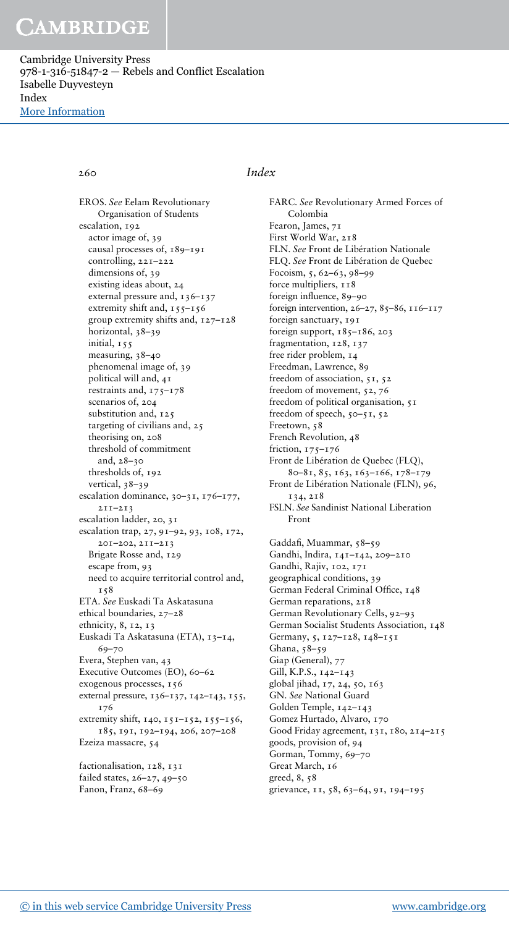Cambridge University Press 978-1-316-51847-2 — Rebels and Conflict Escalation Isabelle Duyvesteyn Index [More Information](www.cambridge.org/9781316518472)

EROS. See Eelam Revolutionary Organisation of Students escalation, 192 actor image of, 39 causal processes of, 189–191 controlling, 221–222 dimensions of, 39 existing ideas about, 24 external pressure and, 136–137 extremity shift and, 155-156 group extremity shifts and, 127–128 horizontal, 38–39 initial, 155 measuring, 38–40 phenomenal image of, 39 political will and, 41 restraints and, 175–178 scenarios of, 204 substitution and, 125 targeting of civilians and, 25 theorising on, 208 threshold of commitment and, 28–30 thresholds of, 192 vertical, 38–39 escalation dominance, 30–31, 176–177, 211–213 escalation ladder, 20, 31 escalation trap, 27, 91–92, 93, 108, 172, 201–202, 211–213 Brigate Rosse and, 129 escape from, 93 need to acquire territorial control and, 158 ETA. See Euskadi Ta Askatasuna ethical boundaries, 27–28 ethnicity, 8, 12, 13 Euskadi Ta Askatasuna (ETA), 13–14, 69–70 Evera, Stephen van, 43 Executive Outcomes (EO), 60-62 exogenous processes, 156 external pressure, 136–137, 142–143, 155, 176 extremity shift, 140, 151-152, 155-156, 185, 191, 192–194, 206, 207–208 Ezeiza massacre, 54 factionalisation, 128, 131 failed states, 26–27, 49–50

## Fanon, Franz, 68–69

#### 260 Index

FARC. See Revolutionary Armed Forces of Colombia Fearon, James, 71 First World War, 218 FLN. See Front de Libération Nationale FLQ. See Front de Libération de Quebec Focoism, 5, 62–63, 98–99 force multipliers,  $118$ foreign influence, 89–90 foreign intervention, 26–27, 85–86, 116–117 foreign sanctuary, 191 foreign support,  $185-186$ , 203 fragmentation, 128, 137 free rider problem, 14 Freedman, Lawrence, 89 freedom of association, 51, 52 freedom of movement, 52, 76 freedom of political organisation, 51 freedom of speech,  $50 - 51$ ,  $52$ Freetown, 58 French Revolution, 48 friction, 175–176 Front de Libération de Quebec (FLQ), 80–81, 85, 163, 163–166, 178–179 Front de Libération Nationale (FLN), 96, 134, 218 FSLN. See Sandinist National Liberation Front Gaddafi, Muammar, 58–59 Gandhi, Indira, 141–142, 209–210 Gandhi, Rajiv, 102, 171 geographical conditions, 39 German Federal Criminal Office, 148 German reparations, 218 German Revolutionary Cells, 92–93 German Socialist Students Association, 148 Germany, 5, 127–128, 148–151 Ghana, 58–59 Giap (General), 77 Gill, K.P.S., 142–143 global jihad, 17, 24, 50, 163 GN. See National Guard Golden Temple, 142–143 Gomez Hurtado, Alvaro, 170 Good Friday agreement, 131, 180, 214–215 goods, provision of, 94 Gorman, Tommy, 69–70 Great March, 16 greed, 8, 58 grievance, 11, 58, 63–64, 91, 194–195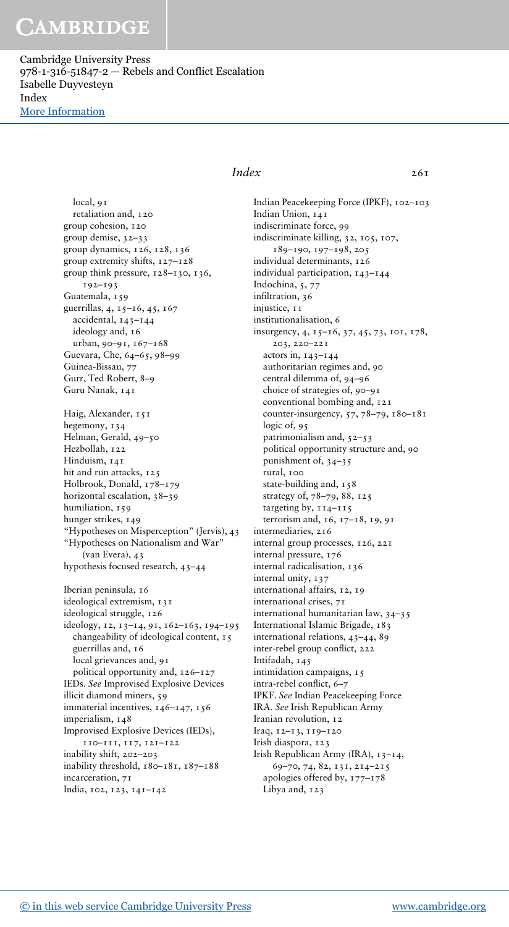Cambridge University Press 978-1-316-51847-2 — Rebels and Conflict Escalation Isabelle Duyvesteyn Index [More Information](www.cambridge.org/9781316518472)

> local, 91 retaliation and, 120 group cohesion, 120 group demise, 32–33 group dynamics, 126, 128, 136 group extremity shifts, 127–128 group think pressure, 128–130, 136, 192–193 Guatemala, 159 guerrillas, 4, 15–16, 45, 167 accidental, 143–144 ideology and, 16 urban, 90–91, 167–168 Guevara, Che, 64–65, 98–99 Guinea-Bissau, 77 Gurr, Ted Robert, 8–9 Guru Nanak, 141 Haig, Alexander, 151 hegemony, 134 Helman, Gerald, 49–50 Hezbollah, 122 Hinduism, 141 hit and run attacks, 125 Holbrook, Donald, 178–179 horizontal escalation, 38–39 humiliation, 159 hunger strikes, 149 "Hypotheses on Misperception" (Jervis), 43 "Hypotheses on Nationalism and War" (van Evera), 43 hypothesis focused research, 43–44 Iberian peninsula, 16 ideological extremism, 131 ideological struggle, 126 ideology, 12, 13–14, 91, 162–163, 194–195 changeability of ideological content, 15 guerrillas and, 16 local grievances and, 91 political opportunity and, 126–127 IEDs. See Improvised Explosive Devices illicit diamond miners, 59 immaterial incentives, 146–147, 156 imperialism, 148 Improvised Explosive Devices (IEDs), 110–111, 117, 121–122 inability shift, 202–203 inability threshold, 180–181, 187–188 incarceration, 71

#### $Index \qquad \qquad 261$

Indian Peacekeeping Force (IPKF), 102–103 Indian Union, 141 indiscriminate force, 99 indiscriminate killing, 32, 105, 107, 189–190, 197–198, 205 individual determinants, 126 individual participation, 143–144 Indochina, 5, 77 infiltration, 36 injustice, 11 institutionalisation, 6 insurgency, 4, 15–16, 37, 45, 73, 101, 178, 203, 220–221 actors in, 143–144 authoritarian regimes and, 90 central dilemma of, 94–96 choice of strategies of, 90–91 conventional bombing and, 121 counter-insurgency, 57, 78–79, 180–181 logic of, 95 patrimonialism and, 52–53 political opportunity structure and, 90 punishment of, 34–35 rural, 100 state-building and, 158 strategy of, 78–79, 88, 125 targeting by,  $114-115$ terrorism and, 16, 17–18, 19, 91 intermediaries, 216 internal group processes, 126, 221 internal pressure, 176 internal radicalisation, 136 internal unity, 137 international affairs, 12, 19 international crises, 71 international humanitarian law, 34–35 International Islamic Brigade, 183 international relations, 43–44, 89 inter-rebel group conflict, 222 Intifadah, 145 intimidation campaigns, 15 intra-rebel conflict, 6–7 IPKF. See Indian Peacekeeping Force IRA. See Irish Republican Army Iranian revolution, 12 Iraq, 12–13, 119–120 Irish diaspora, 123 Irish Republican Army (IRA), 13–14, 69–70, 74, 82, 131, 214–215 apologies offered by, 177–178 Libya and, 123

India, 102, 123, 141–142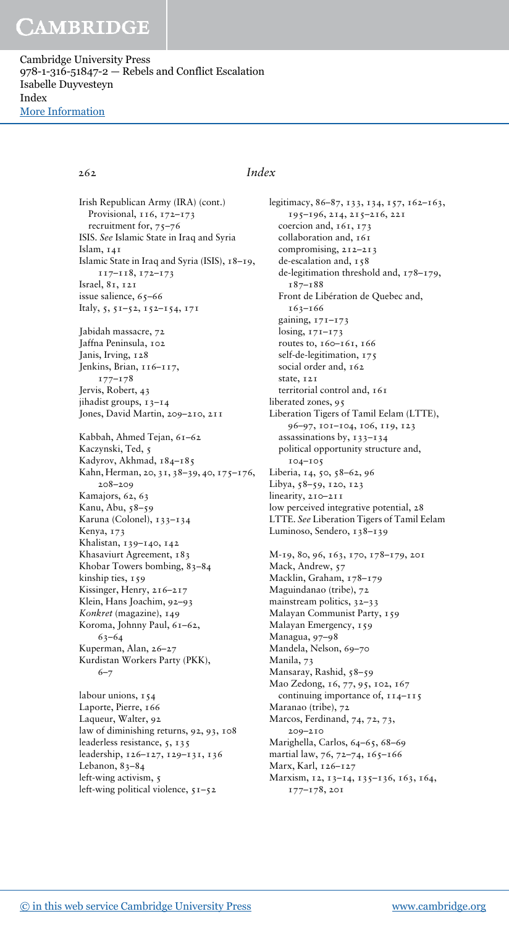Cambridge University Press 978-1-316-51847-2 — Rebels and Conflict Escalation Isabelle Duyvesteyn Index [More Information](www.cambridge.org/9781316518472)

### 262 Index

Irish Republican Army (IRA) (cont.) Provisional, 116, 172-173 recruitment for, 75–76 ISIS. See Islamic State in Iraq and Syria Islam, 141 Islamic State in Iraq and Syria (ISIS), 18–19, 117–118, 172–173 Israel, 81, 121 issue salience, 65–66 Italy, 5, 51–52, 152–154, 171 Jabidah massacre, 72 Jaffna Peninsula, 102 Janis, Irving, 128 Jenkins, Brian, 116–117, 177–178 Jervis, Robert, 43 jihadist groups, 13–14 Jones, David Martin, 209–210, 211 Kabbah, Ahmed Tejan, 61–62 Kaczynski, Ted, 5 Kadyrov, Akhmad, 184-185 Kahn, Herman, 20, 31, 38–39, 40, 175–176, 208–209 Kamajors, 62, 63 Kanu, Abu, 58–59 Karuna (Colonel), 133–134 Kenya, 173 Khalistan, 139–140, 142 Khasaviurt Agreement, 183 Khobar Towers bombing, 83–84 kinship ties, 159 Kissinger, Henry, 216–217 Klein, Hans Joachim, 92–93 Konkret (magazine), 149 Koroma, Johnny Paul, 61–62, 63–64 Kuperman, Alan, 26–27 Kurdistan Workers Party (PKK), 6–7

labour unions, 154 Laporte, Pierre, 166 Laqueur, Walter, 92 law of diminishing returns, 92, 93, 108 leaderless resistance, 5, 135 leadership, 126–127, 129–131, 136 Lebanon, 83-84 left-wing activism, 5 left-wing political violence,  $51-52$ 

legitimacy, 86–87, 133, 134, 157, 162–163, 195–196, 214, 215–216, 221 coercion and, 161, 173 collaboration and, 161 compromising, 212–213 de-escalation and, 158 de-legitimation threshold and, 178–179, 187–188 Front de Libération de Quebec and, 163–166 gaining, 171–173 losing, 171–173 routes to, 160–161, 166 self-de-legitimation, 175 social order and, 162 state, 121 territorial control and, 161 liberated zones, 95 Liberation Tigers of Tamil Eelam (LTTE), 96–97, 101–104, 106, 119, 123 assassinations by, 133–134 political opportunity structure and, 104–105 Liberia, 14, 50, 58–62, 96 Libya, 58–59, 120, 123 linearity, 210–211 low perceived integrative potential, 28 LTTE. See Liberation Tigers of Tamil Eelam Luminoso, Sendero, 138-139

M-19, 80, 96, 163, 170, 178–179, 201 Mack, Andrew, 57 Macklin, Graham, 178–179 Maguindanao (tribe), 72 mainstream politics, 32–33 Malayan Communist Party, 159 Malayan Emergency, 159 Managua, 97–98 Mandela, Nelson, 69–70 Manila, 73 Mansaray, Rashid, 58-59 Mao Zedong, 16, 77, 95, 102, 167 continuing importance of,  $114-115$ Maranao (tribe), 72 Marcos, Ferdinand, 74, 72, 73, 209–210 Marighella, Carlos, 64–65, 68–69 martial law, 76, 72–74, 165–166 Marx, Karl, 126–127 Marxism, 12, 13-14, 135-136, 163, 164, 177–178, 201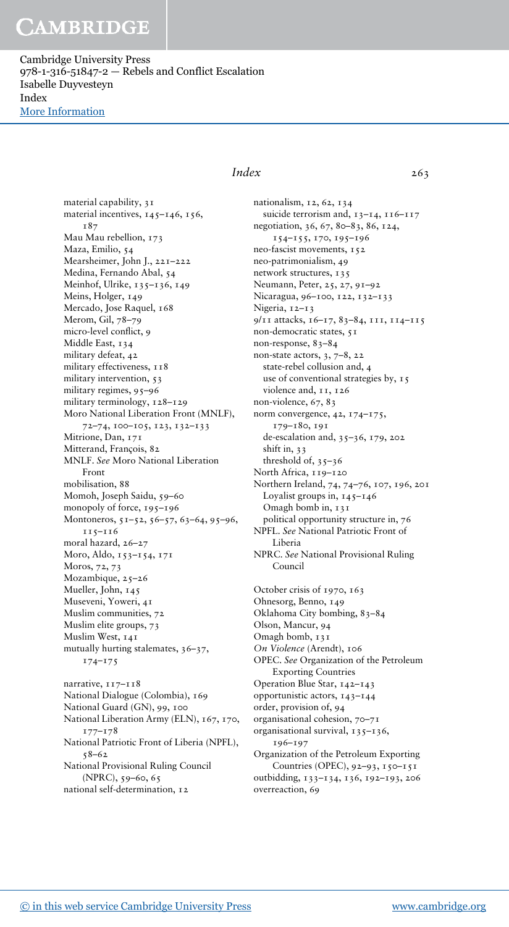Cambridge University Press 978-1-316-51847-2 — Rebels and Conflict Escalation Isabelle Duyvesteyn Index [More Information](www.cambridge.org/9781316518472)

> material capability, 31 material incentives, 145-146, 156, 187 Mau Mau rebellion, 173 Maza, Emilio, 54 Mearsheimer, John J., 221–222 Medina, Fernando Abal, 54 Meinhof, Ulrike, 135-136, 149 Meins, Holger, 149 Mercado, Jose Raquel, 168 Merom, Gil, 78–79 micro-level conflict, 9 Middle East, 134 military defeat, 42 military effectiveness, 118 military intervention, 53 military regimes, 95–96 military terminology, 128–129 Moro National Liberation Front (MNLF), 72–74, 100–105, 123, 132–133 Mitrione, Dan, 171 Mitterand, François, 82 MNLF. See Moro National Liberation Front mobilisation, 88 Momoh, Joseph Saidu, 59–60 monopoly of force, 195-196 Montoneros, 51–52, 56–57, 63–64, 95–96, 115–116 moral hazard, 26–27 Moro, Aldo, 153–154, 171 Moros, 72, 73 Mozambique, 25-26 Mueller, John, 145 Museveni, Yoweri, 41 Muslim communities, 72 Muslim elite groups, 73 Muslim West, 141 mutually hurting stalemates, 36–37, 174–175 narrative, 117-118

> National Dialogue (Colombia), 169 National Guard (GN), 99, 100 National Liberation Army (ELN), 167, 170, 177–178 National Patriotic Front of Liberia (NPFL), 58–62 National Provisional Ruling Council (NPRC), 59–60, 65 national self-determination, 12

### Index 263

nationalism, 12, 62, 134 suicide terrorism and, 13-14, 116-117 negotiation, 36, 67, 80–83, 86, 124, 154–155, 170, 195–196 neo-fascist movements, 152 neo-patrimonialism, 49 network structures, 135 Neumann, Peter, 25, 27, 91–92 Nicaragua, 96–100, 122, 132–133 Nigeria, 12–13 9/11 attacks, 16–17, 83–84, 111, 114–115 non-democratic states, 51 non-response, 83–84 non-state actors, 3, 7–8, 22 state-rebel collusion and, 4 use of conventional strategies by, 15 violence and, 11, 126 non-violence, 67, 83 norm convergence, 42, 174–175, 179–180, 191 de-escalation and, 35–36, 179, 202 shift in, 33 threshold of, 35–36 North Africa, 119-120 Northern Ireland, 74, 74–76, 107, 196, 201 Loyalist groups in, 145–146 Omagh bomb in, 131 political opportunity structure in, 76 NPFL. See National Patriotic Front of Liberia NPRC. See National Provisional Ruling Council October crisis of 1970, 163 Ohnesorg, Benno, 149 Oklahoma City bombing, 83–84 Olson, Mancur, 94 Omagh bomb, 131 On Violence (Arendt), 106

OPEC. See Organization of the Petroleum Exporting Countries Operation Blue Star, 142–143

opportunistic actors, 143–144

order, provision of, 94

organisational cohesion, 70–71

organisational survival, 135–136,

196–197 Organization of the Petroleum Exporting Countries (OPEC), 92–93, 150–151 outbidding, 133–134, 136, 192–193, 206 overreaction, 69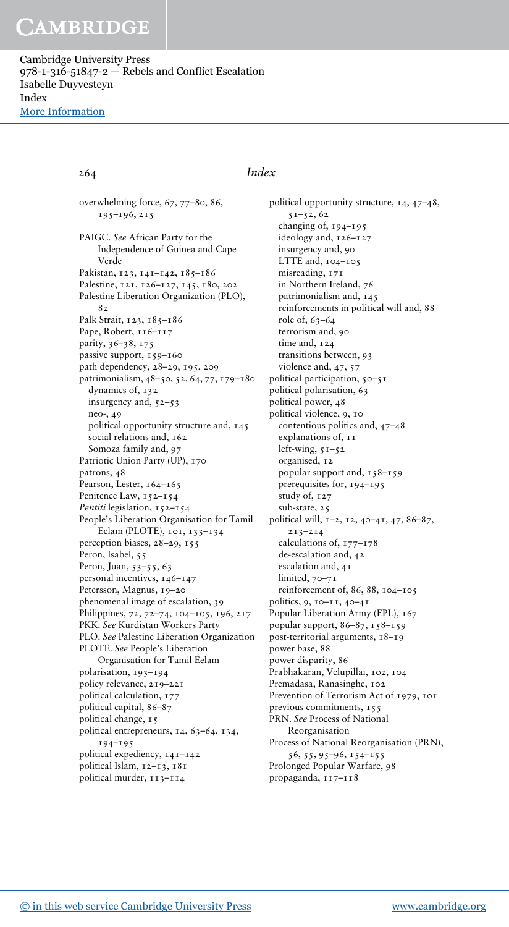Cambridge University Press 978-1-316-51847-2 — Rebels and Conflict Escalation Isabelle Duyvesteyn Index [More Information](www.cambridge.org/9781316518472)

### 264 Index

overwhelming force, 67, 77–80, 86, 195–196, 215 PAIGC. See African Party for the Independence of Guinea and Cape Verde Pakistan, 123, 141-142, 185-186 Palestine, 121, 126–127, 145, 180, 202 Palestine Liberation Organization (PLO), 82 Palk Strait, 123, 185-186 Pape, Robert, 116-117 parity, 36–38, 175 passive support, 159-160 path dependency, 28–29, 195, 209 patrimonialism, 48–50, 52, 64, 77, 179–180 dynamics of, 132 insurgency and, 52–53 neo-, 49 political opportunity structure and, 145 social relations and, 162 Somoza family and, 97 Patriotic Union Party (UP), 170 patrons, 48 Pearson, Lester, 164-165 Penitence Law, 152-154 Pentiti legislation, 152-154 People's Liberation Organisation for Tamil Eelam (PLOTE), 101, 133–134 perception biases, 28–29, 155 Peron, Isabel, 55 Peron, Juan, 53-55, 63 personal incentives, 146–147 Petersson, Magnus, 19–20 phenomenal image of escalation, 39 Philippines, 72, 72–74, 104–105, 196, 217 PKK. See Kurdistan Workers Party PLO. See Palestine Liberation Organization PLOTE. See People's Liberation Organisation for Tamil Eelam polarisation, 193–194 policy relevance, 219–221 political calculation, 177 political capital, 86–87 political change, 15 political entrepreneurs, 14, 63–64, 134, 194–195 political expediency, 141–142 political Islam, 12–13, 181 political murder, 113–114

political opportunity structure, 14, 47–48, 51–52, 62 changing of, 194–195 ideology and, 126–127 insurgency and, 90 LTTE and, 104–105 misreading, 171 in Northern Ireland, 76 patrimonialism and, 145 reinforcements in political will and, 88 role of, 63–64 terrorism and, 90 time and, 124 transitions between, 93 violence and, 47, 57 political participation, 50–51 political polarisation, 63 political power, 48 political violence, 9, 10 contentious politics and, 47–48 explanations of, 11 left-wing, 51–52 organised, 12 popular support and,  $158-159$ prerequisites for, 194–195 study of, 127 sub-state, 25 political will, 1–2, 12, 40–41, 47, 86–87, 213–214 calculations of, 177–178 de-escalation and, 42 escalation and, 41 limited, 70-71 reinforcement of, 86, 88, 104–105 politics, 9, 10–11, 40–41 Popular Liberation Army (EPL), 167 popular support, 86–87, 158–159 post-territorial arguments, 18–19 power base, 88 power disparity, 86 Prabhakaran, Velupillai, 102, 104 Premadasa, Ranasinghe, 102 Prevention of Terrorism Act of 1979, 101 previous commitments, 155 PRN. See Process of National Reorganisation Process of National Reorganisation (PRN), 56, 55, 95–96, 154–155 Prolonged Popular Warfare, 98 propaganda, 117–118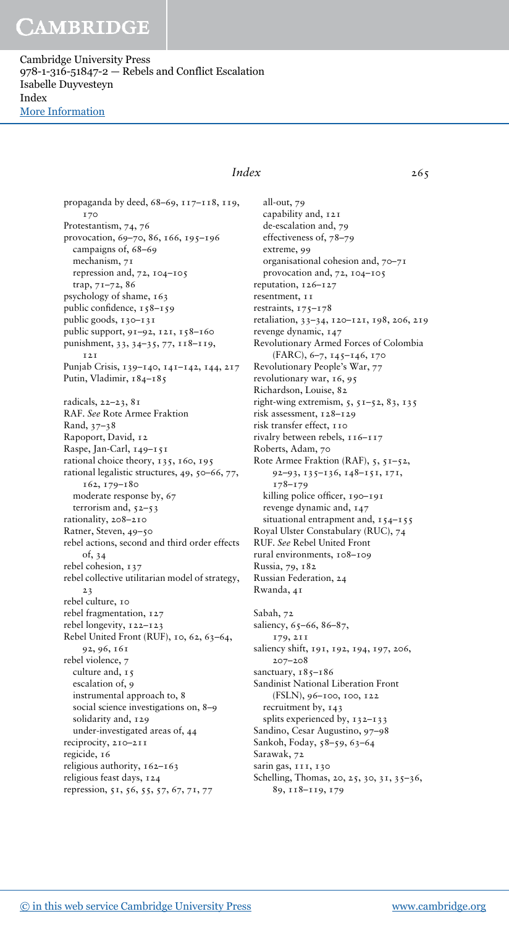Cambridge University Press 978-1-316-51847-2 — Rebels and Conflict Escalation Isabelle Duyvesteyn Index [More Information](www.cambridge.org/9781316518472)

> propaganda by deed, 68–69, 117–118, 119, 170 Protestantism, 74, 76 provocation, 69–70, 86, 166, 195–196 campaigns of, 68–69 mechanism, 71 repression and, 72, 104–105 trap, 71–72, 86 psychology of shame, 163 public confidence, 158–159 public goods, 130–131 public support, 91–92, 121, 158–160 punishment, 33, 34–35, 77, 118–119, 121 Punjab Crisis, 139–140, 141–142, 144, 217 Putin, Vladimir, 184-185 radicals, 22–23, 81 RAF. See Rote Armee Fraktion Rand, 37–38 Rapoport, David, 12 Raspe, Jan-Carl, 149–151 rational choice theory, 135, 160, 195 rational legalistic structures, 49, 50–66, 77, 162, 179–180 moderate response by, 67 terrorism and, 52–53 rationality, 208–210 Ratner, Steven, 49–50 rebel actions, second and third order effects of, 34 rebel cohesion, 137 rebel collective utilitarian model of strategy, 23 rebel culture, 10 rebel fragmentation, 127 rebel longevity, 122–123 Rebel United Front (RUF), 10, 62, 63–64, 92, 96, 161 rebel violence, 7 culture and, 15 escalation of, 9 instrumental approach to, 8 social science investigations on, 8–9 solidarity and, 129 under-investigated areas of, 44 reciprocity, 210–211 regicide, 16 religious authority, 162–163 religious feast days, 124 repression, 51, 56, 55, 57, 67, 71, 77

### Index 265

all-out, 79 capability and, 121 de-escalation and, 79 effectiveness of, 78–79 extreme, 99 organisational cohesion and, 70–71 provocation and, 72, 104–105 reputation, 126–127 resentment, 11 restraints, 175–178 retaliation, 33–34, 120–121, 198, 206, 219 revenge dynamic, 147 Revolutionary Armed Forces of Colombia (FARC), 6–7, 145–146, 170 Revolutionary People's War, 77 revolutionary war, 16, 95 Richardson, Louise, 82 right-wing extremism, 5, 51–52, 83, 135 risk assessment, 128–129 risk transfer effect, 110 rivalry between rebels, 116–117 Roberts, Adam, 70 Rote Armee Fraktion (RAF), 5, 51–52, 92–93, 135–136, 148–151, 171, 178–179 killing police officer, 190–191 revenge dynamic and, 147 situational entrapment and, 154-155 Royal Ulster Constabulary (RUC), 74 RUF. See Rebel United Front rural environments, 108–109 Russia, 79, 182 Russian Federation, 24 Rwanda, 41 Sabah, 72 saliency, 65-66, 86-87, 179, 211 saliency shift, 191, 192, 194, 197, 206, 207–208 sanctuary,  $185 - 186$ Sandinist National Liberation Front (FSLN), 96–100, 100, 122 recruitment by, 143 splits experienced by, 132-133 Sandino, Cesar Augustino, 97–98 Sankoh, Foday, 58–59, 63–64 Sarawak, 72 sarin gas, III, 130 Schelling, Thomas, 20, 25, 30, 31, 35–36, 89, 118–119, 179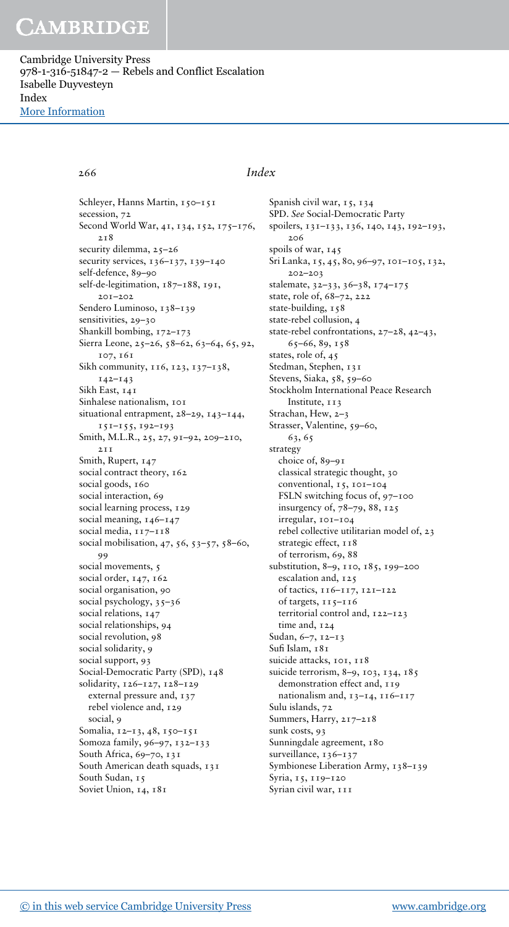Cambridge University Press 978-1-316-51847-2 — Rebels and Conflict Escalation Isabelle Duyvesteyn Index [More Information](www.cambridge.org/9781316518472)

### 266 Index

Schleyer, Hanns Martin, 150-151 secession, 72 Second World War, 41, 134, 152, 175–176, 218 security dilemma, 25-26 security services, 136–137, 139–140 self-defence, 89–90 self-de-legitimation,  $187-188$ , 191, 201–202 Sendero Luminoso, 138–139 sensitivities, 29–30 Shankill bombing, 172–173 Sierra Leone, 25–26, 58–62, 63–64, 65, 92, 107, 161 Sikh community, 116, 123, 137-138, 142–143 Sikh East, 141 Sinhalese nationalism, 101 situational entrapment, 28–29, 143–144, 151–155, 192–193 Smith, M.L.R., 25, 27, 91–92, 209–210, 211 Smith, Rupert, 147 social contract theory, 162 social goods, 160 social interaction, 69 social learning process, 129 social meaning, 146-147 social media,  $117 - 118$ social mobilisation, 47, 56, 53–57, 58–60, 99 social movements, 5 social order, 147, 162 social organisation, 90 social psychology, 35–36 social relations, 147 social relationships, 94 social revolution, 98 social solidarity, 9 social support, 93 Social-Democratic Party (SPD), 148 solidarity, 126–127, 128–129 external pressure and, 137 rebel violence and, 129 social, 9 Somalia, 12–13, 48, 150–151 Somoza family, 96–97, 132–133 South Africa, 69–70, 131 South American death squads, 131 South Sudan, 15 Soviet Union, 14, 181

Spanish civil war, 15, 134 SPD. See Social-Democratic Party spoilers, 131–133, 136, 140, 143, 192–193, 206 spoils of war, 145 Sri Lanka, 15, 45, 80, 96–97, 101–105, 132, 202–203 stalemate, 32–33, 36–38, 174–175 state, role of, 68–72, 222 state-building, 158 state-rebel collusion, 4 state-rebel confrontations, 27–28, 42–43, 65–66, 89, 158 states, role of, 45 Stedman, Stephen, 131 Stevens, Siaka, 58, 59–60 Stockholm International Peace Research Institute, 113 Strachan, Hew, 2–3 Strasser, Valentine, 59–60, 63, 65 strategy choice of, 89–91 classical strategic thought, 30 conventional, 15, 101–104 FSLN switching focus of, 97–100 insurgency of, 78–79, 88, 125 irregular, 101–104 rebel collective utilitarian model of, 23 strategic effect,  $118$ of terrorism, 69, 88 substitution, 8–9, 110, 185, 199–200 escalation and, 125 of tactics, 116–117, 121–122 of targets, 115–116 territorial control and, 122–123 time and, 124 Sudan, 6–7, 12–13 Sufi Islam, 181 suicide attacks, 101, 118 suicide terrorism, 8-9, 103, 134, 185 demonstration effect and, 119 nationalism and, 13–14, 116–117 Sulu islands, 72 Summers, Harry, 217–218 sunk costs, 93 Sunningdale agreement, 180 surveillance, 136-137 Symbionese Liberation Army, 138–139 Syria, 15, 119-120 Syrian civil war, III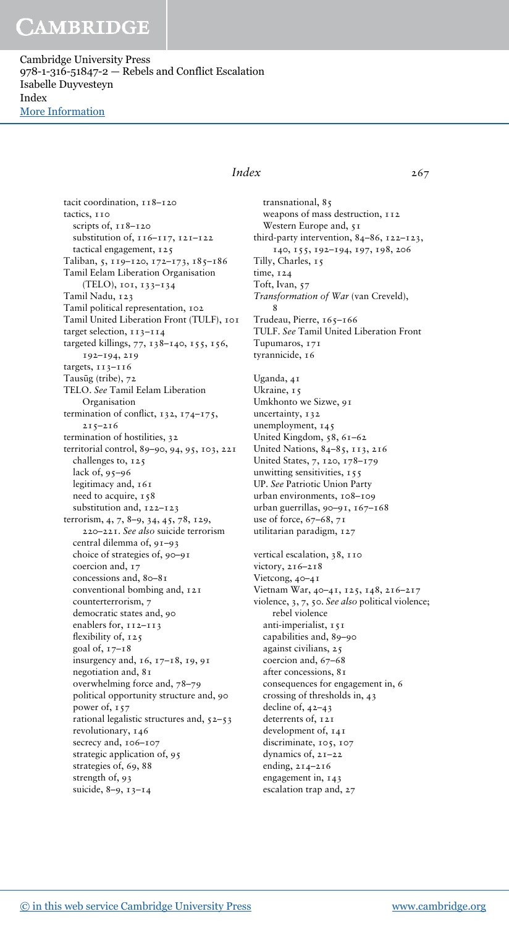Cambridge University Press 978-1-316-51847-2 — Rebels and Conflict Escalation Isabelle Duyvesteyn Index [More Information](www.cambridge.org/9781316518472)

> tacit coordination, 118-120 tactics, 110 scripts of,  $118-120$ substitution of, 116–117, 121–122 tactical engagement, 125 Taliban, 5, 119–120, 172–173, 185–186 Tamil Eelam Liberation Organisation (TELO), 101, 133–134 Tamil Nadu, 123 Tamil political representation, 102 Tamil United Liberation Front (TULF), 101 target selection, 113-114 targeted killings, 77, 138–140, 155, 156, 192–194, 219 targets, 113–116 Tausūg (tribe), 72 TELO. See Tamil Eelam Liberation Organisation termination of conflict, 132, 174–175, 215–216 termination of hostilities, 32 territorial control, 89–90, 94, 95, 103, 221 challenges to, 125 lack of, 95–96 legitimacy and, 161 need to acquire, 158 substitution and, 122–123 terrorism, 4, 7, 8–9, 34, 45, 78, 129, 220–221. See also suicide terrorism central dilemma of, 91–93 choice of strategies of, 90–91 coercion and, 17 concessions and, 80-81 conventional bombing and, 121 counterterrorism, 7 democratic states and, 90 enablers for,  $112-113$ flexibility of, 125 goal of,  $17 - 18$ insurgency and, 16, 17–18, 19, 91 negotiation and, 81 overwhelming force and, 78–79 political opportunity structure and, 90 power of, 157 rational legalistic structures and, 52–53 revolutionary, 146 secrecy and, 106-107 strategic application of, 95 strategies of, 69, 88 strength of, 93 suicide, 8–9, 13–14

### Index 267

transnational, 85 weapons of mass destruction, 112 Western Europe and, 51 third-party intervention, 84–86, 122–123, 140, 155, 192–194, 197, 198, 206 Tilly, Charles, 15 time, 124 Toft, Ivan, 57 Transformation of War (van Creveld), 8 Trudeau, Pierre, 165–166 TULF. See Tamil United Liberation Front Tupumaros, 171 tyrannicide, 16 Uganda, 41

Ukraine, 15 Umkhonto we Sizwe, 91 uncertainty, 132 unemployment, 145 United Kingdom, 58, 61–62 United Nations, 84–85, 113, 216 United States, 7, 120, 178–179 unwitting sensitivities, 155 UP. See Patriotic Union Party urban environments, 108–109 urban guerrillas, 90–91, 167–168 use of force, 67–68, 71 utilitarian paradigm, 127

vertical escalation, 38, 110 victory, 216–218 Vietcong, 40–41 Vietnam War, 40–41, 125, 148, 216–217 violence, 3, 7, 50. See also political violence; rebel violence anti-imperialist, 151 capabilities and, 89–90 against civilians, 25 coercion and, 67–68 after concessions, 81 consequences for engagement in, 6 crossing of thresholds in, 43 decline of, 42–43 deterrents of, 121 development of, 141 discriminate, 105, 107 dynamics of, 21–22 ending, 214–216 engagement in, 143 escalation trap and, 27